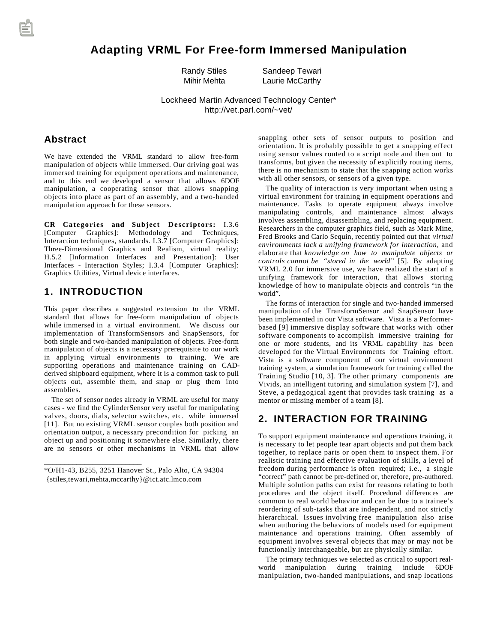# **Adapting VRML For Free-form Immersed Manipulation**

Randy Stiles Sandeep Tewari

Mihir Mehta Laurie McCarthy

Lockheed Martin Advanced Technology Center\* http://vet.parl.com/~vet/

#### **Abstract**

We have extended the VRML standard to allow free-form manipulation of objects while immersed. Our driving goal was immersed training for equipment operations and maintenance, and to this end we developed a sensor that allows 6DOF manipulation, a cooperating sensor that allows snapping objects into place as part of an assembly, and a two-handed manipulation approach for these sensors.

**CR Categories and Subject Descriptors:** I.3.6 [Computer Graphics]: Methodology and Techniques, Interaction techniques, standards. I.3.7 [Computer Graphics]: Three-Dimensional Graphics and Realism, virtual reality; H.5.2 [Information Interfaces and Presentation]: User Interfaces - Interaction Styles; I.3.4 [Computer Graphics]: Graphics Utilities, Virtual device interfaces.

# **1. INTRODUCTION**

\_\_\_\_\_\_\_\_\_\_\_\_\_\_\_\_\_\_\_\_\_\_\_\_

This paper describes a suggested extension to the VRML standard that allows for free-form manipulation of objects while immersed in a virtual environment. We discuss our implementation of TransformSensors and SnapSensors, for both single and two-handed manipulation of objects. Free-form manipulation of objects is a necessary prerequisite to our work in applying virtual environments to training. We are supporting operations and maintenance training on CADderived shipboard equipment, where it is a common task to pull objects out, assemble them, and snap or plug them into assemblies.

The set of sensor nodes already in VRML are useful for many cases - we find the CylinderSensor very useful for manipulating valves, doors, dials, selector switches, etc. while immersed [11]. But no existing VRML sensor couples both position and orientation output, a necessary precondition for picking an object up and positioning it somewhere else. Similarly, there are no sensors or other mechanisms in VRML that allow

snapping other sets of sensor outputs to position and orientation. It is probably possible to get a snapping effect using sensor values routed to a script node and then out to transforms, but given the necessity of explicitly routing items, there is no mechanism to state that the snapping action works with all other sensors, or sensors of a given type.

The quality of interaction is very important when using a virtual environment for training in equipment operations and maintenance. Tasks to operate equipment always involve manipulating controls, and maintenance almost always involves assembling, disassembling, and replacing equipment. Researchers in the computer graphics field, such as Mark Mine, Fred Brooks and Carlo Sequin, recently pointed out that *virtual environments lack a unifying framework for interaction*, and elaborate that *knowledge on how to manipulate objects or controls cannot be "stored in the world"* [5]. By adapting VRML 2.0 for immersive use, we have realized the start of a unifying framework for interaction, that allows storing knowledge of how to manipulate objects and controls "in the world".

The forms of interaction for single and two-handed immersed manipulation of the TransformSensor and SnapSensor have been implemented in our Vista software. Vista is a Performerbased [9] immersive display software that works with other software components to accomplish immersive training for one or more students, and its VRML capability has been developed for the Virtual Environments for Training effort. Vista is a software component of our virtual environment training system, a simulation framework for training called the Training Studio [10, 3]. The other primary components are Vivids, an intelligent tutoring and simulation system [7], and Steve, a pedagogical agent that provides task training as a mentor or missing member of a team [8].

# **2. INTERACTION FOR TRAINING**

To support equipment maintenance and operations training, it is necessary to let people tear apart objects and put them back together, to replace parts or open them to inspect them. For realistic training and effective evaluation of skills, a level of freedom during performance is often required; i.e., a single "correct" path cannot be pre-defined or, therefore, pre-authored. Multiple solution paths can exist for reasons relating to both procedures and the object itself. Procedural differences are common to real world behavior and can be due to a trainee's reordering of sub-tasks that are independent, and not strictly hierarchical. Issues involving free manipulation also arise when authoring the behaviors of models used for equipment maintenance and operations training. Often assembly of equipment involves several objects that may or may not be functionally interchangeable, but are physically similar.

The primary techniques we selected as critical to support realworld manipulation during training include 6DOF manipulation, two-handed manipulations, and snap locations

<sup>\*</sup>O/H1-43, B255, 3251 Hanover St., Palo Alto, CA 94304 {stiles,tewari,mehta,mccarthy}@ict.atc.lmco.com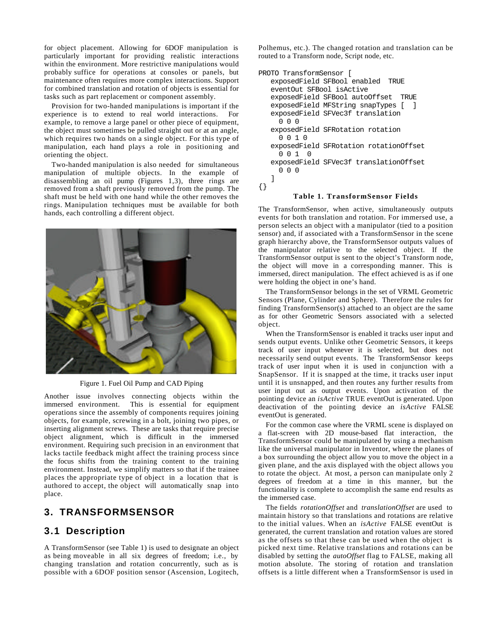for object placement. Allowing for 6DOF manipulation is particularly important for providing realistic interactions within the environment. More restrictive manipulations would probably suffice for operations at consoles or panels, but maintenance often requires more complex interactions. Support for combined translation and rotation of objects is essential for tasks such as part replacement or component assembly.

Provision for two-handed manipulations is important if the experience is to extend to real world interactions. For example, to remove a large panel or other piece of equipment, the object must sometimes be pulled straight out or at an angle, which requires two hands on a single object. For this type of manipulation, each hand plays a role in positioning and orienting the object.

Two-handed manipulation is also needed for simultaneous manipulation of multiple objects. In the example of disassembling an oil pump (Figures 1,3), three rings are removed from a shaft previously removed from the pump. The shaft must be held with one hand while the other removes the rings. Manipulation techniques must be available for both hands, each controlling a different object.



Figure 1. Fuel Oil Pump and CAD Piping

Another issue involves connecting objects within the immersed environment. This is essential for equipment operations since the assembly of components requires joining objects, for example, screwing in a bolt, joining two pipes, or inserting alignment screws. These are tasks that require precise object alignment, which is difficult in the immersed environment. Requiring such precision in an environment that lacks tactile feedback might affect the training process since the focus shifts from the training content to the training environment. Instead, we simplify matters so that if the trainee places the appropriate type of object in a location that is authored to accept, the object will automatically snap into place.

#### **3. TRANSFORMSENSOR**

#### **3.1 Description**

A TransformSensor (see Table 1) is used to designate an object as being moveable in all six degrees of freedom; i.e., by changing translation and rotation concurrently, such as is possible with a 6DOF position sensor (Ascension, Logitech, Polhemus, etc.). The changed rotation and translation can be routed to a Transform node, Script node, etc.

```
PROTO TransformSensor [
    exposedField SFBool enabled TRUE
    eventOut SFBool isActive
   exposedField SFBool autoOffset TRUE
   exposedField MFString snapTypes [ ]
    exposedField SFVec3f translation
      0 0 0
    exposedField SFRotation rotation
      0 0 1 0
    exposedField SFRotation rotationOffset
      0 0 1 0
    exposedField SFVec3f translationOffset
      0 0 0
    ]
{}
```
#### **Table 1. TransformSensor Fields**

The TransformSensor, when active, simultaneously outputs events for both translation and rotation. For immersed use, a person selects an object with a manipulator (tied to a position sensor) and, if associated with a TransformSensor in the scene graph hierarchy above, the TransformSensor outputs values of the manipulator relative to the selected object. If the TransformSensor output is sent to the object's Transform node, the object will move in a corresponding manner. This is immersed, direct manipulation. The effect achieved is as if one were holding the object in one's hand.

The TransformSensor belongs in the set of VRML Geometric Sensors (Plane, Cylinder and Sphere). Therefore the rules for finding TransformSensor(s) attached to an object are the same as for other Geometric Sensors associated with a selected object.

When the TransformSensor is enabled it tracks user input and sends output events. Unlike other Geometric Sensors, it keeps track of user input whenever it is selected, but does not necessarily send output events. The TransformSensor keeps track of user input when it is used in conjunction with a SnapSensor. If it is snapped at the time, it tracks user input until it is unsnapped, and then routes any further results from user input out as output events. Upon activation of the pointing device an *isActive* TRUE eventOut is generated. Upon deactivation of the pointing device an *isActive* FALSE eventOut is generated.

For the common case where the VRML scene is displayed on a flat-screen with 2D mouse-based flat interaction, the TransformSensor could be manipulated by using a mechanism like the universal manipulator in Inventor, where the planes of a box surrounding the object allow you to move the object in a given plane, and the axis displayed with the object allows you to rotate the object. At most, a person can manipulate only 2 degrees of freedom at a time in this manner, but the functionality is complete to accomplish the same end results as the immersed case.

The fields *rotationOffset* and *translationOffset* are used to maintain history so that translations and rotations are relative to the initial values. When an *isActive* FALSE eventOut is generated, the current translation and rotation values are stored as the offsets so that these can be used when the object is picked next time. Relative translations and rotations can be disabled by setting the *autoOffset* flag to FALSE, making all motion absolute. The storing of rotation and translation offsets is a little different when a TransformSensor is used in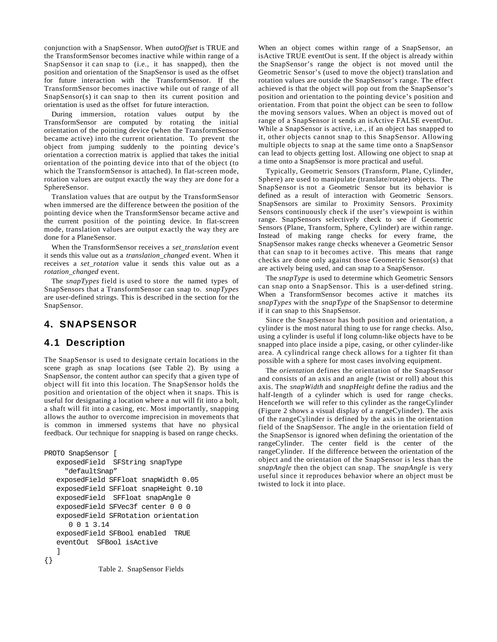conjunction with a SnapSensor. When *autoOffset* is TRUE and the TransformSensor becomes inactive while within range of a SnapSensor it can snap to (i.e., it has snapped), then the position and orientation of the SnapSensor is used as the offset for future interaction with the TransformSensor. If the TransformSensor becomes inactive while out of range of all SnapSensor(s) it can snap to then its current position and orientation is used as the offset for future interaction.

During immersion, rotation values output by the TransformSensor are computed by rotating the initial orientation of the pointing device (when the TransformSensor became active) into the current orientation. To prevent the object from jumping suddenly to the pointing device's orientation a correction matrix is applied that takes the initial orientation of the pointing device into that of the object (to which the TransformSensor is attached). In flat-screen mode, rotation values are output exactly the way they are done for a SphereSensor.

Translation values that are output by the TransformSensor when immersed are the difference between the position of the pointing device when the TransformSensor became active and the current position of the pointing device. In flat-screen mode, translation values are output exactly the way they are done for a PlaneSensor.

When the TransformSensor receives a *set\_translation* event it sends this value out as a *translation\_changed* event. When it receives a *set rotation* value it sends this value out as a *rotation\_changed* event.

The *snapTypes* field is used to store the named types of SnapSensors that a TransformSensor can snap to. *snapTypes* are user-defined strings. This is described in the section for the SnapSensor.

# **4. SNAPSENSOR**

# **4.1 Description**

The SnapSensor is used to designate certain locations in the scene graph as snap locations (see Table 2). By using a SnapSensor, the content author can specify that a given type of object will fit into this location. The SnapSensor holds the position and orientation of the object when it snaps. This is useful for designating a location where a nut will fit into a bolt, a shaft will fit into a casing, etc. Most importantly, snapping allows the author to overcome imprecision in movements that is common in immersed systems that have no physical feedback. Our technique for snapping is based on range checks.

```
PROTO SnapSensor [
    exposedField SFString snapType
      "defaultSnap"
    exposedField SFFloat snapWidth 0.05
    exposedField SFFloat snapHeight 0.10
    exposedField SFFloat snapAngle 0
    exposedField SFVec3f center 0 0 0
    exposedField SFRotation orientation
       0 0 1 3.14
    exposedField SFBool enabled TRUE
    eventOut SFBool isActive
 ]
{}
             Table 2. SnapSensor Fields
```
When an object comes within range of a SnapSensor, an isActive TRUE eventOut is sent. If the object is already within the SnapSensor's range the object is not moved until the Geometric Sensor's (used to move the object) translation and rotation values are outside the SnapSensor's range. The effect achieved is that the object will pop out from the SnapSensor's position and orientation to the pointing device's position and orientation. From that point the object can be seen to follow the moving sensors values. When an object is moved out of range of a SnapSensor it sends an isActive FALSE eventOut. While a SnapSensor is active, i.e., if an object has snapped to it, other objects cannot snap to this SnapSensor. Allowing multiple objects to snap at the same time onto a SnapSensor can lead to objects getting lost. Allowing one object to snap at a time onto a SnapSensor is more practical and useful.

Typically, Geometric Sensors (Transform, Plane, Cylinder, Sphere) are used to manipulate (translate/rotate) objects. The SnapSensor is not a Geometric Sensor but its behavior is defined as a result of interaction with Geometric Sensors. SnapSensors are similar to Proximity Sensors. Proximity Sensors continuously check if the user's viewpoint is within range. SnapSensors selectively check to see if Geometric Sensors (Plane, Transform, Sphere, Cylinder) are within range. Instead of making range checks for every frame, the SnapSensor makes range checks whenever a Geometric Sensor that can snap to it becomes active. This means that range checks are done only against those Geometric Sensor(s) that are actively being used, and can snap to a SnapSensor.

The *snapType* is used to determine which Geometric Sensors can snap onto a SnapSensor. This is a user-defined string. When a TransformSensor becomes active it matches its *snapTypes* with the *snapType* of the SnapSensor to determine if it can snap to this SnapSensor.

Since the SnapSensor has both position and orientation, a cylinder is the most natural thing to use for range checks. Also, using a cylinder is useful if long column-like objects have to be snapped into place inside a pipe, casing, or other cylinder-like area. A cylindrical range check allows for a tighter fit than possible with a sphere for most cases involving equipment.

The *orientation* defines the orientation of the SnapSensor and consists of an axis and an angle (twist or roll) about this axis. The *snapWidth* and *snapHeight* define the radius and the half-length of a cylinder which is used for range checks. Henceforth we will refer to this cylinder as the rangeCylinder (Figure 2 shows a visual display of a rangeCylinder). The axis of the rangeCylinder is defined by the axis in the orientation field of the SnapSensor. The angle in the orientation field of the SnapSensor is ignored when defining the orientation of the rangeCylinder. The center field is the center of the rangeCylinder. If the difference between the orientation of the object and the orientation of the SnapSensor is less than the *snapAngle* then the object can snap. The *snapAngle* is very useful since it reproduces behavior where an object must be twisted to lock it into place.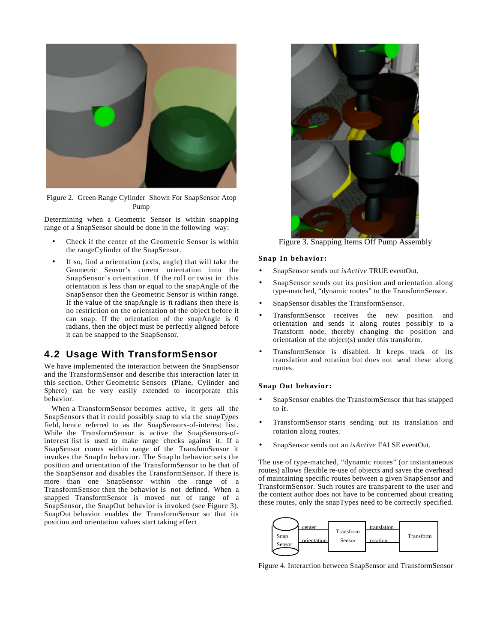

Figure 2. Green Range Cylinder Shown For SnapSensor Atop Pump

Determining when a Geometric Sensor is within snapping range of a SnapSensor should be done in the following way:

- Check if the center of the Geometric Sensor is within the rangeCylinder of the SnapSensor.
- If so, find a orientation (axis, angle) that will take the Geometric Sensor's current orientation into the SnapSensor's orientation. If the roll or twist in this orientation is less than or equal to the snapAngle of the SnapSensor then the Geometric Sensor is within range. If the value of the snapAngle is radians then there is no restriction on the orientation of the object before it can snap. If the orientation of the snapAngle is 0 radians, then the object must be perfectly aligned before it can be snapped to the SnapSensor.

# **4.2 Usage With TransformSensor**

We have implemented the interaction between the SnapSensor and the TransformSensor and describe this interaction later in this section. Other Geometric Sensors (Plane, Cylinder and Sphere) can be very easily extended to incorporate this behavior.

When a TransformSensor becomes active, it gets all the SnapSensors that it could possibly snap to via the *snapTypes* field, hence referred to as the SnapSensors-of-interest list. While the TransformSensor is active the SnapSensors-ofinterest list is used to make range checks against it. If a SnapSensor comes within range of the TransfomSensor it invokes the SnapIn behavior. The SnapIn behavior sets the position and orientation of the TransformSensor to be that of the SnapSensor and disables the TransformSensor. If there is more than one SnapSensor within the range of a TransformSensor then the behavior is not defined. When a snapped TransformSensor is moved out of range of a SnapSensor, the SnapOut behavior is invoked (see Figure 3). SnapOut behavior enables the TransformSensor so that its position and orientation values start taking effect.



Figure 3. Snapping Items Off Pump Assembly

#### **Snap In behavior:**

- SnapSensor sends out *isActive* TRUE eventOut.
- SnapSensor sends out its position and orientation along type-matched, "dynamic routes" to the TransformSensor.
- SnapSensor disables the TransformSensor.
- TransformSensor receives the new position and orientation and sends it along routes possibly to a Transform node, thereby changing the position and orientation of the object(s) under this transform.
- TransformSensor is disabled. It keeps track of its translation and rotation but does not send these along routes.

#### **Snap Out behavior:**

- SnapSensor enables the TransformSensor that has snapped to it.
- TransformSensor starts sending out its translation and rotation along routes.
- SnapSensor sends out an *isActive* FALSE eventOut.

The use of type-matched, "dynamic routes" (or instantaneous routes) allows flexible re-use of objects and saves the overhead of maintaining specific routes between a given SnapSensor and TransformSensor. Such routes are transparent to the user and the content author does not have to be concerned about creating these routes, only the snapTypes need to be correctly specified.

![](_page_3_Figure_21.jpeg)

Figure 4. Interaction between SnapSensor and TransformSensor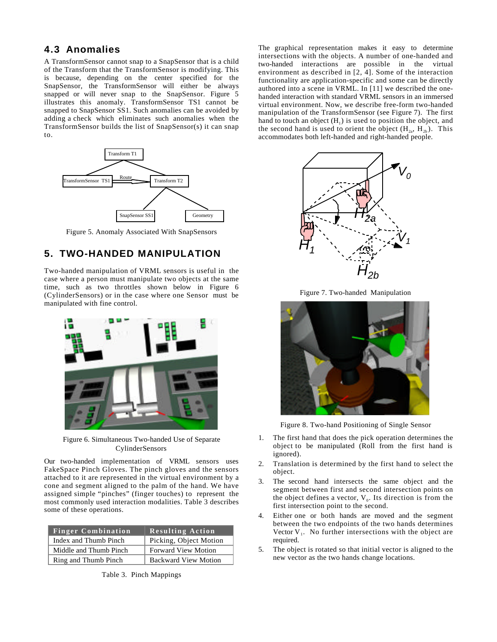### **4.3 Anomalies**

A TransformSensor cannot snap to a SnapSensor that is a child of the Transform that the TransformSensor is modifying. This is because, depending on the center specified for the SnapSensor, the TransformSensor will either be always snapped or will never snap to the SnapSensor. Figure 5 illustrates this anomaly. TransformSensor TS1 cannot be snapped to SnapSensor SS1. Such anomalies can be avoided by adding a check which eliminates such anomalies when the TransformSensor builds the list of SnapSensor(s) it can snap to.

![](_page_4_Figure_2.jpeg)

Figure 5. Anomaly Associated With SnapSensors

# **5. TWO-HANDED MANIPULATION**

Two-handed manipulation of VRML sensors is useful in the case where a person must manipulate two objects at the same time, such as two throttles shown below in Figure 6 (CylinderSensors) or in the case where one Sensor must be manipulated with fine control.

![](_page_4_Picture_6.jpeg)

Figure 6. Simultaneous Two-handed Use of Separate CylinderSensors

Our two-handed implementation of VRML sensors uses FakeSpace Pinch Gloves. The pinch gloves and the sensors attached to it are represented in the virtual environment by a cone and segment aligned to the palm of the hand. We have assigned simple "pinches" (finger touches) to represent the most commonly used interaction modalities. Table 3 describes some of these operations.

| <b>Finger Combination</b> | <b>Resulting Action</b>     |
|---------------------------|-----------------------------|
| Index and Thumb Pinch     | Picking, Object Motion      |
| Middle and Thumb Pinch    | <b>Forward View Motion</b>  |
| Ring and Thumb Pinch      | <b>Backward View Motion</b> |

Table 3. Pinch Mappings

The graphical representation makes it easy to determine intersections with the objects. A number of one-handed and two-handed interactions are possible in the virtual environment as described in [2, 4]. Some of the interaction functionality are application-specific and some can be directly authored into a scene in VRML. In [11] we described the onehanded interaction with standard VRML sensors in an immersed virtual environment. Now, we describe free-form two-handed manipulation of the TransformSensor (see Figure 7). The first hand to touch an object  $(H_1)$  is used to position the object, and the second hand is used to orient the object  $(H_{2a}, H_{2b})$ . This accommodates both left-handed and right-handed people.

![](_page_4_Figure_12.jpeg)

Figure 7. Two-handed Manipulation

![](_page_4_Picture_14.jpeg)

Figure 8. Two-hand Positioning of Single Sensor

- 1. The first hand that does the pick operation determines the object to be manipulated (Roll from the first hand is ignored).
- 2. Translation is determined by the first hand to select the object.
- 3. The second hand intersects the same object and the segment between first and second intersection points on the object defines a vector,  $V_0$ . Its direction is from the first intersection point to the second.
- Either one or both hands are moved and the segment between the two endpoints of the two hands determines Vector  $V_1$ . No further intersections with the object are required.
- 5. The object is rotated so that initial vector is aligned to the new vector as the two hands change locations.